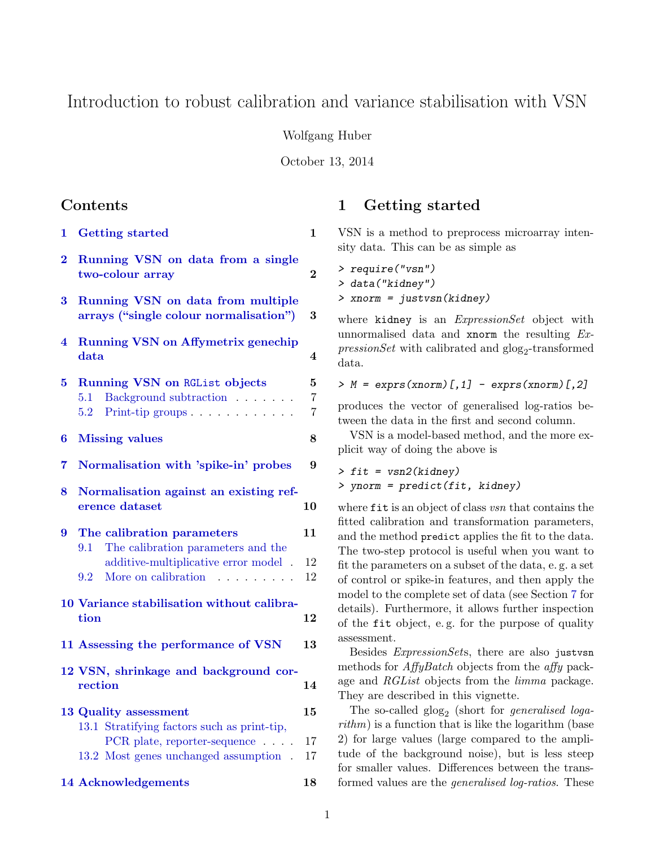# Introduction to robust calibration and variance stabilisation with VSN

Wolfgang Huber

October 13, 2014

## Contents

- [1 Getting started](#page-0-0) 1
- [2 Running VSN on data from a single](#page-2-0) [two-colour array](#page-2-0) 2
- [3 Running VSN on data from multiple](#page-3-0) [arrays \("single colour normalisation"\)](#page-3-0) 3
- [4 Running VSN on Affymetrix genechip](#page-3-1)  $data$  4

| $5 -$          | Running VSN on RGList objects<br>Background subtraction<br>5.1<br>Print-tip groups<br>5.2                                                     | $\overline{5}$<br>$\overline{7}$<br>$\overline{7}$ |  |  |
|----------------|-----------------------------------------------------------------------------------------------------------------------------------------------|----------------------------------------------------|--|--|
| 6              | 8<br><b>Missing values</b>                                                                                                                    |                                                    |  |  |
| $\overline{7}$ | Normalisation with 'spike-in' probes                                                                                                          |                                                    |  |  |
| 8              | Normalisation against an existing ref-<br>10<br>erence dataset                                                                                |                                                    |  |  |
| $9^{\circ}$    | The calibration parameters<br>The calibration parameters and the<br>9.1<br>additive-multiplicative error model.<br>More on calibration<br>9.2 | 11<br>12<br>12                                     |  |  |
|                | 10 Variance stabilisation without calibra-<br>tion                                                                                            |                                                    |  |  |
|                | 11 Assessing the performance of VSN                                                                                                           |                                                    |  |  |
|                | 12 VSN, shrinkage and background cor-<br>rection                                                                                              | 14                                                 |  |  |

| 13 Quality assessment |                                             |  |
|-----------------------|---------------------------------------------|--|
|                       | 13.1 Stratifying factors such as print-tip, |  |
|                       | PCR plate, reporter-sequence 17             |  |
|                       | 13.2 Most genes unchanged assumption . 17   |  |
|                       |                                             |  |

[14 Acknowledgements](#page-17-0) 18

## <span id="page-0-0"></span>1 Getting started

VSN is a method to preprocess microarray intensity data. This can be as simple as

> require("vsn") > data("kidney") > xnorm = justvsn(kidney)

where kidney is an *ExpressionSet* object with unnormalised data and xnorm the resulting Ex- $\text{pressionSet}$  with calibrated and  $\text{glog}_2$ -transformed data.

 $> M = \text{express}(xnorm)[,1] - \text{express}(xnorm)[,2]$ 

produces the vector of generalised log-ratios between the data in the first and second column.

VSN is a model-based method, and the more explicit way of doing the above is

> fit = vsn2(kidney) > ynorm = predict(fit, kidney)

where fit is an object of class vsn that contains the fitted calibration and transformation parameters, and the method predict applies the fit to the data. The two-step protocol is useful when you want to fit the parameters on a subset of the data, e. g. a set of control or spike-in features, and then apply the model to the complete set of data (see Section [7](#page-8-1) for details). Furthermore, it allows further inspection of the fit object, e. g. for the purpose of quality assessment.

Besides ExpressionSets, there are also justvsn methods for *AffyBatch* objects from the *affy* package and RGList objects from the limma package. They are described in this vignette.

The so-called  $g\log_2$  (short for *generalised loga* $rithm$ ) is a function that is like the logarithm (base 2) for large values (large compared to the amplitude of the background noise), but is less steep for smaller values. Differences between the transformed values are the generalised log-ratios. These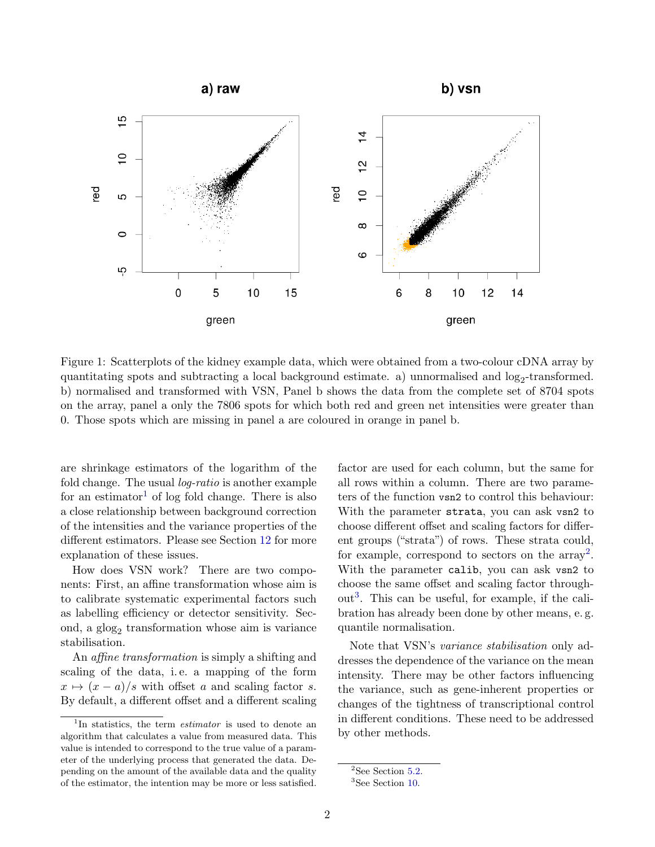

<span id="page-1-3"></span>Figure 1: Scatterplots of the kidney example data, which were obtained from a two-colour cDNA array by quantitating spots and subtracting a local background estimate. a) unnormalised and  $log_2$ -transformed. b) normalised and transformed with VSN, Panel b shows the data from the complete set of 8704 spots on the array, panel a only the 7806 spots for which both red and green net intensities were greater than 0. Those spots which are missing in panel a are coloured in orange in panel b.

are shrinkage estimators of the logarithm of the fold change. The usual *log-ratio* is another example for an estimator<sup>[1](#page-1-0)</sup> of log fold change. There is also a close relationship between background correction of the intensities and the variance properties of the different estimators. Please see Section [12](#page-14-0) for more explanation of these issues.

How does VSN work? There are two components: First, an affine transformation whose aim is to calibrate systematic experimental factors such as labelling efficiency or detector sensitivity. Second, a  $g\log_2$  transformation whose aim is variance stabilisation.

An affine transformation is simply a shifting and scaling of the data, i. e. a mapping of the form  $x \mapsto (x - a)/s$  with offset a and scaling factor s. By default, a different offset and a different scaling factor are used for each column, but the same for all rows within a column. There are two parameters of the function vsn2 to control this behaviour: With the parameter strata, you can ask vsn2 to choose different offset and scaling factors for different groups ("strata") of rows. These strata could, for example, correspond to sectors on the  $\arctan^2$  $\arctan^2$ . With the parameter calib, you can ask vsn2 to choose the same offset and scaling factor through- $out<sup>3</sup>$  $out<sup>3</sup>$  $out<sup>3</sup>$ . This can be useful, for example, if the calibration has already been done by other means, e. g. quantile normalisation.

Note that VSN's variance stabilisation only addresses the dependence of the variance on the mean intensity. There may be other factors influencing the variance, such as gene-inherent properties or changes of the tightness of transcriptional control in different conditions. These need to be addressed by other methods.

<span id="page-1-0"></span><sup>&</sup>lt;sup>1</sup>In statistics, the term *estimator* is used to denote an algorithm that calculates a value from measured data. This value is intended to correspond to the true value of a parameter of the underlying process that generated the data. Depending on the amount of the available data and the quality of the estimator, the intention may be more or less satisfied.

<span id="page-1-1"></span> $2$ See Section [5.2.](#page-7-0)

<span id="page-1-2"></span><sup>&</sup>lt;sup>3</sup>See Section [10.](#page-12-0)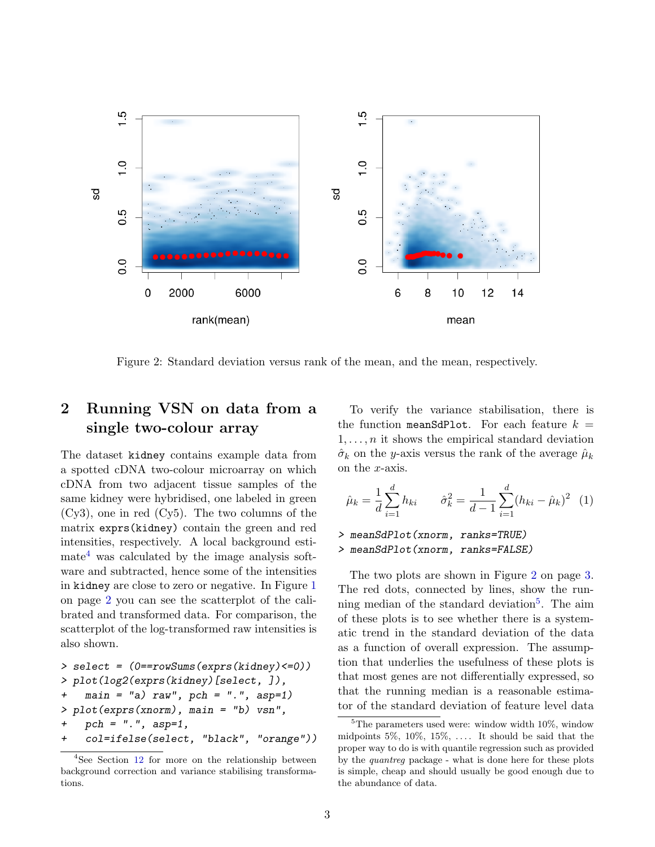<span id="page-2-4"></span>

<span id="page-2-2"></span>Figure 2: Standard deviation versus rank of the mean, and the mean, respectively.

# <span id="page-2-0"></span>2 Running VSN on data from a single two-colour array

The dataset kidney contains example data from a spotted cDNA two-colour microarray on which cDNA from two adjacent tissue samples of the same kidney were hybridised, one labeled in green (Cy3), one in red (Cy5). The two columns of the matrix exprs(kidney) contain the green and red intensities, respectively. A local background esti- $mate<sup>4</sup>$  $mate<sup>4</sup>$  $mate<sup>4</sup>$  was calculated by the image analysis software and subtracted, hence some of the intensities in kidney are close to zero or negative. In Figure [1](#page-1-3) on page [2](#page-1-3) you can see the scatterplot of the calibrated and transformed data. For comparison, the scatterplot of the log-transformed raw intensities is also shown.

```
> select = (0==rowSums(exprs(kidney)<=0))
> plot(log2(exprs(kidney)[select, ]),
+ main = "a) raw", pch = ".", asp=1)
> plot(exprs(xnorm), main = "b) vsn",
+ pch = ".", asp=1,
+ col=ifelse(select, "black", "orange"))
```
To verify the variance stabilisation, there is the function meanSdPlot. For each feature  $k =$  $1, \ldots, n$  it shows the empirical standard deviation  $\hat{\sigma}_k$  on the y-axis versus the rank of the average  $\hat{\mu}_k$ on the x-axis.

$$
\hat{\mu}_k = \frac{1}{d} \sum_{i=1}^d h_{ki} \qquad \hat{\sigma}_k^2 = \frac{1}{d-1} \sum_{i=1}^d (h_{ki} - \hat{\mu}_k)^2 \tag{1}
$$

> meanSdPlot(xnorm, ranks=TRUE) > meanSdPlot(xnorm, ranks=FALSE)

The two plots are shown in Figure [2](#page-2-2) on page [3.](#page-2-2) The red dots, connected by lines, show the run-ning median of the standard deviation<sup>[5](#page-2-3)</sup>. The aim of these plots is to see whether there is a systematic trend in the standard deviation of the data as a function of overall expression. The assumption that underlies the usefulness of these plots is that most genes are not differentially expressed, so that the running median is a reasonable estimator of the standard deviation of feature level data

<span id="page-2-1"></span><sup>4</sup>See Section [12](#page-14-0) for more on the relationship between background correction and variance stabilising transformations.

<span id="page-2-3"></span> ${}^{5}$ The parameters used were: window width 10%, window midpoints  $5\%, 10\%, 15\%, \ldots$  It should be said that the proper way to do is with quantile regression such as provided by the quantreg package - what is done here for these plots is simple, cheap and should usually be good enough due to the abundance of data.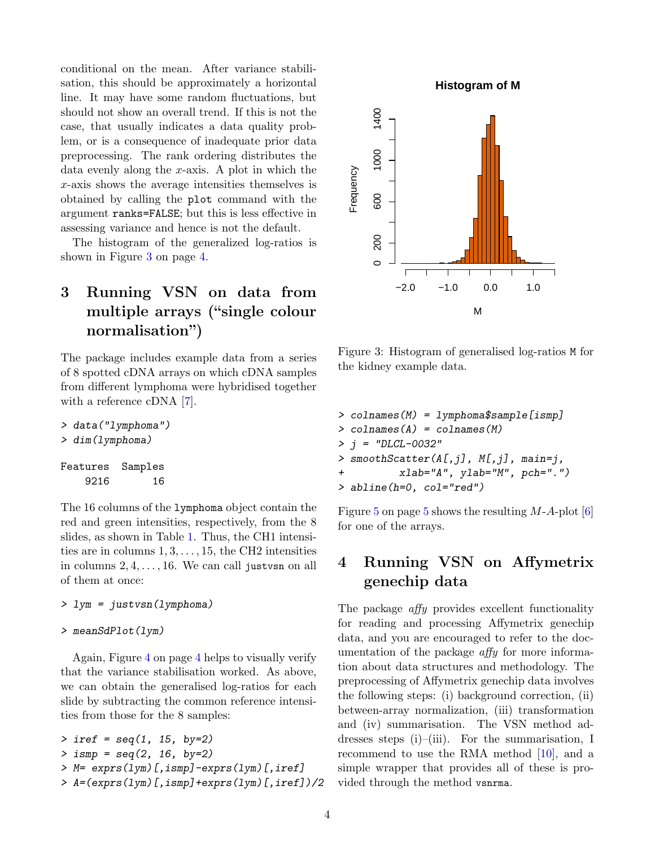<span id="page-3-3"></span>conditional on the mean. After variance stabilisation, this should be approximately a horizontal line. It may have some random fluctuations, but should not show an overall trend. If this is not the case, that usually indicates a data quality problem, or is a consequence of inadequate prior data preprocessing. The rank ordering distributes the data evenly along the x-axis. A plot in which the x-axis shows the average intensities themselves is obtained by calling the plot command with the argument ranks=FALSE; but this is less effective in assessing variance and hence is not the default.

The histogram of the generalized log-ratios is shown in Figure [3](#page-3-2) on page [4.](#page-3-2)

# <span id="page-3-0"></span>3 Running VSN on data from multiple arrays ("single colour normalisation")

The package includes example data from a series of 8 spotted cDNA arrays on which cDNA samples from different lymphoma were hybridised together with a reference cDNA [\[7\]](#page-17-1).

> data("lymphoma") > dim(lymphoma)

Features Samples 9216 16

The 16 columns of the lymphoma object contain the red and green intensities, respectively, from the 8 slides, as shown in Table [1.](#page-7-1) Thus, the CH1 intensities are in columns  $1, 3, \ldots, 15$ , the CH2 intensities in columns  $2, 4, \ldots, 16$ . We can call just vsn on all of them at once:

```
> lym = justvsn(lymphoma)
```

```
> meanSdPlot(lym)
```
Again, Figure [4](#page-4-1) on page [4](#page-4-1) helps to visually verify that the variance stabilisation worked. As above, we can obtain the generalised log-ratios for each slide by subtracting the common reference intensities from those for the 8 samples:

```
> iref = seq(1, 15, by=2)
> ismp = seq(2, 16, by=2)
> M= exprs(lym)[,ismp]-exprs(lym)[,iref]
> A=(exprs(lym)[,ismp]+exprs(lym)[,iref])/2
```
**Histogram of M**



<span id="page-3-2"></span>Figure 3: Histogram of generalised log-ratios M for the kidney example data.

```
> colnames(M) = lymphoma$sample[ismp]
> colnames(A) = colnames(M)
> j = "DLCL-0032"> smoothScatter(A[,j], M[,j], main=j,
+ xlab="A", ylab="M", pch=".")
> abline(h=0, col="red")
```
Figure [5](#page-4-2) on page 5 shows the resulting  $M-A$ -plot [\[6\]](#page-17-2) for one of the arrays.

# <span id="page-3-1"></span>4 Running VSN on Affymetrix genechip data

The package *affy* provides excellent functionality for reading and processing Affymetrix genechip data, and you are encouraged to refer to the documentation of the package affy for more information about data structures and methodology. The preprocessing of Affymetrix genechip data involves the following steps: (i) background correction, (ii) between-array normalization, (iii) transformation and (iv) summarisation. The VSN method addresses steps (i)–(iii). For the summarisation, I recommend to use the RMA method [\[10\]](#page-17-3), and a simple wrapper that provides all of these is provided through the method vsnrma.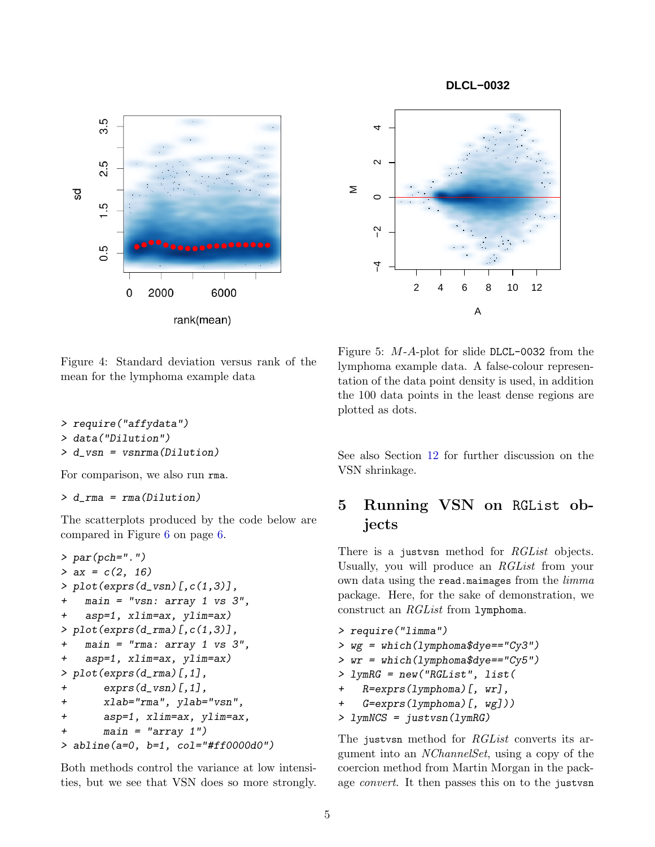**DLCL−0032**





<span id="page-4-1"></span>Figure 4: Standard deviation versus rank of the mean for the lymphoma example data

> require("affydata")

> data("Dilution")

> d\_vsn = vsnrma(Dilution)

For comparison, we also run rma.

> d\_rma = rma(Dilution)

The scatterplots produced by the code below are compared in Figure [6](#page-5-0) on page [6.](#page-5-0)

```
> par(pch="."')> ax = c(2, 16)> plot(exprs(d_vsn)[c(1,3)],main = "vsn: array 1 vs 3",
+ asp=1, xlim=ax, ylim=ax)
> plot(exprs(d_rma)[,c(1,3)],
   main = "rma: array 1 vs 3",
+ asp=1, xlim=ax, ylim=ax)
> plot(exprs(d_rma)[,1],
+ exprs(d_vsn)[,1],
+ xlab="rma", ylab="vsn",
+ asp=1, xlim=ax, ylim=ax,
+ main = "array 1")
> abline(a=0, b=1, col="#ff0000d0")
```
Both methods control the variance at low intensities, but we see that VSN does so more strongly.

<span id="page-4-2"></span>Figure 5: M-A-plot for slide DLCL-0032 from the lymphoma example data. A false-colour representation of the data point density is used, in addition the 100 data points in the least dense regions are plotted as dots.

See also Section [12](#page-14-0) for further discussion on the VSN shrinkage.

## <span id="page-4-0"></span>5 Running VSN on RGList objects

There is a just vsn method for *RGList* objects. Usually, you will produce an RGList from your own data using the read.maimages from the *limma* package. Here, for the sake of demonstration, we construct an RGList from lymphoma.

> require("limma") > wg = which(lymphoma\$dye=="Cy3")  $>$   $wr = which (1ymphona$ \$dye==" $Cv5"$ ) > lymRG = new("RGList", list(  $R=express(1ymphona)[, wr],$ + G=exprs(lymphoma)[, wg])) > lymNCS = justvsn(lymRG)

The just vsn method for *RGList* converts its argument into an NChannelSet, using a copy of the coercion method from Martin Morgan in the package convert. It then passes this on to the justvsn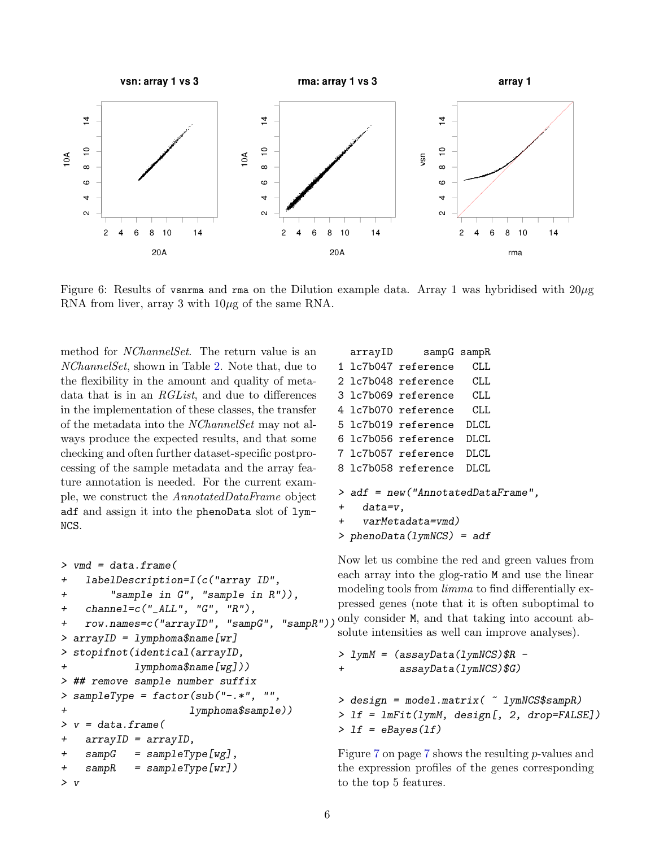

<span id="page-5-0"></span>Figure 6: Results of vsnrma and rma on the Dilution example data. Array 1 was hybridised with  $20\mu$ g RNA from liver, array 3 with  $10\mu$ g of the same RNA.

method for NChannelSet. The return value is an NChannelSet, shown in Table [2.](#page-7-2) Note that, due to the flexibility in the amount and quality of metadata that is in an RGList, and due to differences in the implementation of these classes, the transfer of the metadata into the NChannelSet may not always produce the expected results, and that some checking and often further dataset-specific postprocessing of the sample metadata and the array feature annotation is needed. For the current example, we construct the AnnotatedDataFrame object adf and assign it into the phenoData slot of lym-NCS.

```
> vmd = data.frame(
+ labelDescription=I(c("array ID",
+ "sample in G", "sample in R")),
+ channel=c("_ALL", "G", "R"),
+ row.names=c("arrayID", "sampG", "sampR"))
>arrayID = 1ymphoma$name[wr]> stopifnot(identical(arrayID,
+ lymphoma$name[wg]))
> ## remove sample number suffix
> sampleType = factor(sub("-.*", "",
+ lymphoma$sample))
> v = data-frame(+ arrayID = arrayID,
+ sampG = sampleType[wg],
+ sampR = sampleType[wr])
> v
```

```
arrayID sampG sampR
1 lc7b047 reference CLL
2 lc7b048 reference CLL
3 lc7b069 reference CLL
4 lc7b070 reference CLL
5 lc7b019 reference DLCL
6 lc7b056 reference DLCL
7 lc7b057 reference DLCL
8 lc7b058 reference DLCL
> adf = new("AnnotatedDataFrame",
+ data=v,
+ varMetadata=vmd)
```

```
> phenoData(lymNCS) = adf
```
Now let us combine the red and green values from each array into the glog-ratio M and use the linear modeling tools from *limma* to find differentially expressed genes (note that it is often suboptimal to only consider M, and that taking into account absolute intensities as well can improve analyses).

```
> 1ymM = (assayData(1)ymNCS)$R -
+ assayData(lymNCS)$G)
> design = model.matrix( ~ lymNCS$sampR)
> lf = lmFit(lymM, design[, 2, drop=FALSE])
> 1f = eBayes(1f)
```
Figure [7](#page-6-1) on page [7](#page-6-1) shows the resulting p-values and the expression profiles of the genes corresponding to the top 5 features.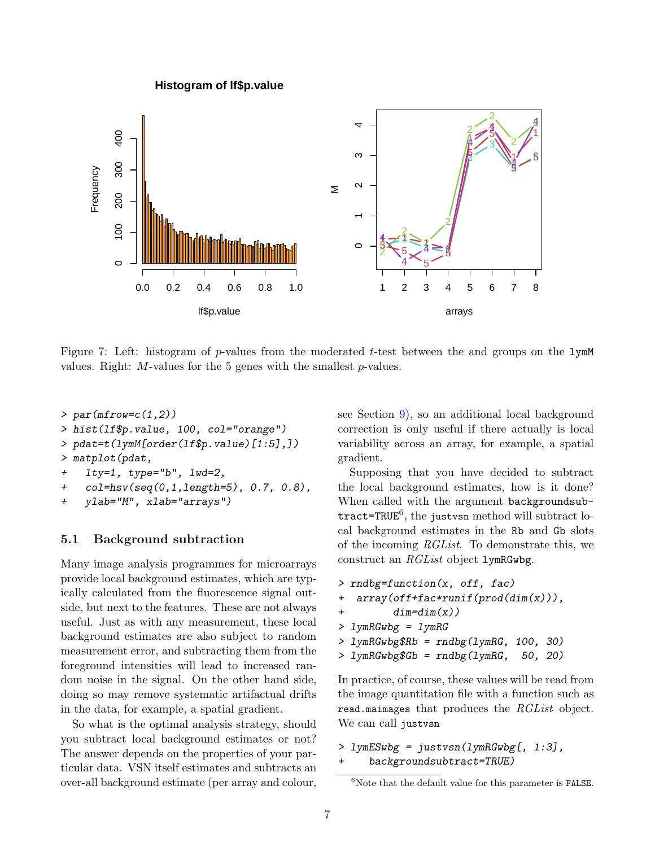**Histogram of lf\$p.value**



<span id="page-6-1"></span>Figure 7: Left: histogram of p-values from the moderated t-test between the and groups on the  $lymM$ values. Right:  $M$ -values for the 5 genes with the smallest  $p$ -values.

- $> par(mfrow=c(1,2))$ > hist(lf\$p.value, 100, col="orange") > pdat=t(lymM[order(lf\$p.value)[1:5],]) > matplot(pdat, + lty=1, type="b", lwd=2, + col=hsv(seq(0,1,length=5), 0.7, 0.8),
- + ylab="M", xlab="arrays")

#### <span id="page-6-0"></span>5.1 Background subtraction

Many image analysis programmes for microarrays provide local background estimates, which are typically calculated from the fluorescence signal outside, but next to the features. These are not always useful. Just as with any measurement, these local background estimates are also subject to random measurement error, and subtracting them from the foreground intensities will lead to increased random noise in the signal. On the other hand side, doing so may remove systematic artifactual drifts in the data, for example, a spatial gradient.

So what is the optimal analysis strategy, should you subtract local background estimates or not? The answer depends on the properties of your particular data. VSN itself estimates and subtracts an over-all background estimate (per array and colour, see Section [9\)](#page-10-0), so an additional local background correction is only useful if there actually is local variability across an array, for example, a spatial gradient.

Supposing that you have decided to subtract the local background estimates, how is it done? When called with the argument backgroundsub- $\texttt{tract=TRUE}^6, \text{ the justvsn method will subtract lo-}$  $\texttt{tract=TRUE}^6, \text{ the justvsn method will subtract lo-}$  $\texttt{tract=TRUE}^6, \text{ the justvsn method will subtract lo-}$ cal background estimates in the Rb and Gb slots of the incoming RGList. To demonstrate this, we construct an RGList object lymRGwbg.

```
> rndbg=function(x, off, fac)
+ array(off+fac*runif(prod(dim(x))),
+ \dim = \dim(x))
> lymRGwbg = lymRG
> lymRGwbg$Rb = rndbg(lymRG, 100, 30)
> lymRGwbg$Gb = rndbg(lymRG, 50, 20)
```
In practice, of course, these values will be read from the image quantitation file with a function such as read.maimages that produces the RGList object. We can call justvsn

```
> lymESwbg = justvsn(lymRGwbg[, 1:3],
+ backgroundsubtract=TRUE)
```
<span id="page-6-2"></span> $6$ Note that the default value for this parameter is FALSE.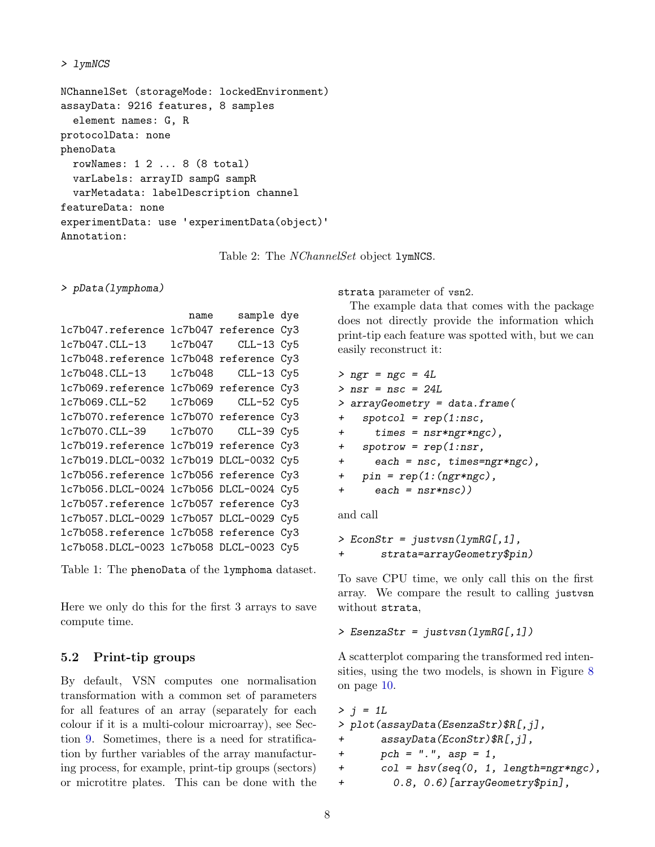```
> lymNCS
```
NChannelSet (storageMode: lockedEnvironment) assayData: 9216 features, 8 samples element names: G, R protocolData: none phenoData rowNames: 1 2 ... 8 (8 total) varLabels: arrayID sampG sampR varMetadata: labelDescription channel featureData: none experimentData: use 'experimentData(object)' Annotation:

<span id="page-7-2"></span>Table 2: The *NChannelSet* object **lymNCS**.

> pData(lymphoma)

```
name sample dye
lc7b047.reference lc7b047 reference Cy3
lc7b047.CLL-13 lc7b047 CLL-13 Cy5
lc7b048.reference lc7b048 reference Cy3
lc7b048.CLL-13 lc7b048 CLL-13 Cy5
lc7b069.reference lc7b069 reference Cy3
lc7b069.CLL-52 lc7b069 CLL-52 Cy5
lc7b070.reference lc7b070 reference Cy3
lc7b070.CLL-39 lc7b070 CLL-39 Cy5
lc7b019.reference lc7b019 reference Cy3
lc7b019.DLCL-0032 lc7b019 DLCL-0032 Cy5
lc7b056.reference lc7b056 reference Cy3
lc7b056.DLCL-0024 lc7b056 DLCL-0024 Cy5
lc7b057.reference lc7b057 reference Cy3
lc7b057.DLCL-0029 lc7b057 DLCL-0029 Cy5
lc7b058.reference lc7b058 reference Cy3
lc7b058.DLCL-0023 lc7b058 DLCL-0023 Cy5
```
<span id="page-7-1"></span>Table 1: The phenoData of the lymphoma dataset.

Here we only do this for the first 3 arrays to save compute time.

## <span id="page-7-0"></span>5.2 Print-tip groups

By default, VSN computes one normalisation transformation with a common set of parameters for all features of an array (separately for each colour if it is a multi-colour microarray), see Section [9.](#page-10-0) Sometimes, there is a need for stratification by further variables of the array manufacturing process, for example, print-tip groups (sectors) or microtitre plates. This can be done with the

strata parameter of vsn2.

The example data that comes with the package does not directly provide the information which print-tip each feature was spotted with, but we can easily reconstruct it:

```
> ngr = ngc = 4L
> nsr = nsc = 24L
> arrayGeometry = data.frame(
+ spotcol = rep(1:nsc,
+ times = nsr*ngr*ngc),
+ spotrow = rep(1:nsr,
+ each = nsc, times=ngr*ngc),
+ pin = rep(1:(ngr*ngc),+ each = nsr*nsc)
```
and call

```
> EconStr = justvsn(lymRG[,1],
       strata=arrayGeometry$pin)
```
To save CPU time, we only call this on the first array. We compare the result to calling justvsn without strata,

```
> EsenzaStr = justvsn(lymRG[,1])
```
A scatterplot comparing the transformed red intensities, using the two models, is shown in Figure [8](#page-8-2) on page [10.](#page-8-2)

```
> j = 1L> plot(assayData(EsenzaStr)$R[,j],
+ assayData(EconStr)$R[,j],
+ pch = ".", asp = 1,
+ col = hsv(seq(0, 1, length=ngr*ngc),
+ 0.8, 0.6)[arrayGeometry$pin],
```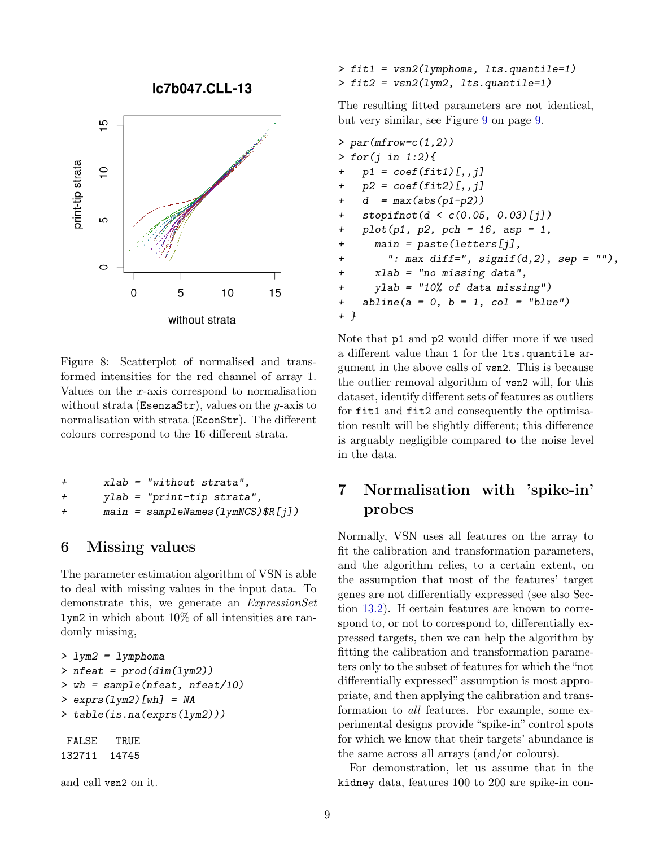lc7b047.CLL-13



<span id="page-8-2"></span>Figure 8: Scatterplot of normalised and transformed intensities for the red channel of array 1. Values on the x-axis correspond to normalisation without strata (EsenzaStr), values on the  $y$ -axis to normalisation with strata (EconStr). The different colours correspond to the 16 different strata.

```
+ xlab = "without strata",
+ ylab = "print-tip strata",
+ main = sampleNames(lymNCS)$R[j])
```
## <span id="page-8-0"></span>6 Missing values

The parameter estimation algorithm of VSN is able to deal with missing values in the input data. To demonstrate this, we generate an ExpressionSet lym2 in which about 10% of all intensities are randomly missing,

```
> lym2 = lymphoma
> nfeat = prod(dim(lym2))
> wh = sample(nfeat, nfeat/10)
> exprs(lym2)[wh] = NA
> table(is.na(exprs(lym2)))
FALSE TRUE
132711 14745
```
and call vsn2 on it.

> fit1 = vsn2(lymphoma, lts.quantile=1) > fit2 = vsn2(lym2, lts.quantile=1)

The resulting fitted parameters are not identical, but very similar, see Figure [9](#page-9-1) on page [9.](#page-9-1)

```
> par(mfrow=c(1,2))> for (j in 1:2)p1 = coef(fit1)[,j]+ p2 = coef(fit2)[, j]+ d = max(abs(p1-p2))+ stopifnot(d < c(0.05, 0.03)[j])
+ plot(p1, p2, pch = 16, asp = 1,
+ main = paste(letters[j],
+ ": max diff=", signif(d,2), sep = ""),
+ xlab = "no missing data",
+ ylab = "10% of data missing")
+ abline(a = 0, b = 1, col = "blue")+ }
```
Note that p1 and p2 would differ more if we used a different value than 1 for the lts.quantile argument in the above calls of vsn2. This is because the outlier removal algorithm of vsn2 will, for this dataset, identify different sets of features as outliers for fit1 and fit2 and consequently the optimisation result will be slightly different; this difference is arguably negligible compared to the noise level in the data.

# <span id="page-8-1"></span>7 Normalisation with 'spike-in' probes

Normally, VSN uses all features on the array to fit the calibration and transformation parameters, and the algorithm relies, to a certain extent, on the assumption that most of the features' target genes are not differentially expressed (see also Section [13.2\)](#page-16-0). If certain features are known to correspond to, or not to correspond to, differentially expressed targets, then we can help the algorithm by fitting the calibration and transformation parameters only to the subset of features for which the "not differentially expressed" assumption is most appropriate, and then applying the calibration and transformation to all features. For example, some experimental designs provide "spike-in" control spots for which we know that their targets' abundance is the same across all arrays (and/or colours).

For demonstration, let us assume that in the kidney data, features 100 to 200 are spike-in con-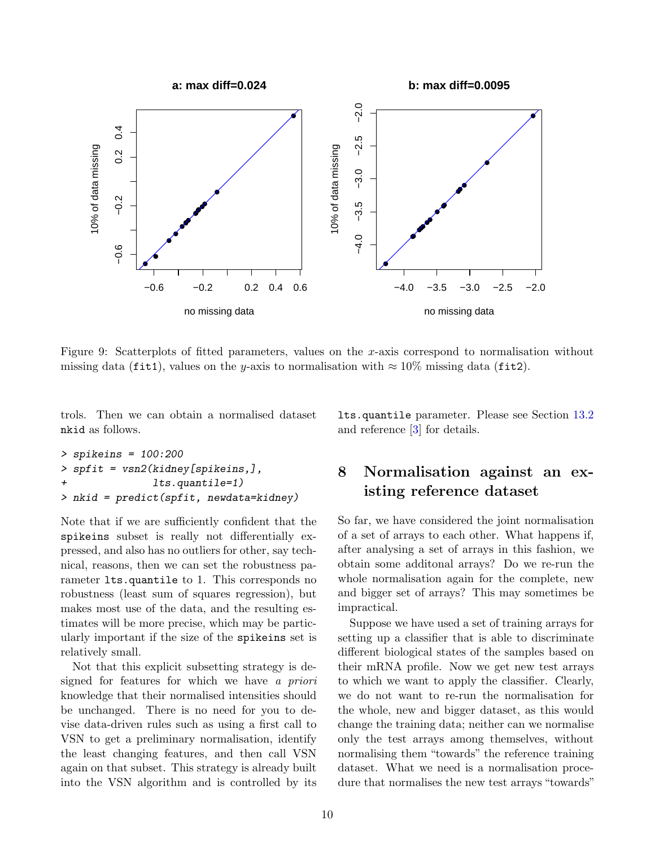<span id="page-9-2"></span>

<span id="page-9-1"></span>Figure 9: Scatterplots of fitted parameters, values on the x-axis correspond to normalisation without missing data (fit1), values on the y-axis to normalisation with  $\approx 10\%$  missing data (fit2).

trols. Then we can obtain a normalised dataset nkid as follows.

lts.quantile parameter. Please see Section [13.2](#page-16-0) and reference [\[3\]](#page-17-4) for details.

```
> spikeins = 100:200
> spfit = vsn2(kidney[spikeins,],
+ lts.quantile=1)
> nkid = predict(spfit, newdata=kidney)
```
Note that if we are sufficiently confident that the spikeins subset is really not differentially expressed, and also has no outliers for other, say technical, reasons, then we can set the robustness parameter lts.quantile to 1. This corresponds no robustness (least sum of squares regression), but makes most use of the data, and the resulting estimates will be more precise, which may be particularly important if the size of the spikeins set is relatively small.

Not that this explicit subsetting strategy is designed for features for which we have a priori knowledge that their normalised intensities should be unchanged. There is no need for you to devise data-driven rules such as using a first call to VSN to get a preliminary normalisation, identify the least changing features, and then call VSN again on that subset. This strategy is already built into the VSN algorithm and is controlled by its

## <span id="page-9-0"></span>8 Normalisation against an existing reference dataset

So far, we have considered the joint normalisation of a set of arrays to each other. What happens if, after analysing a set of arrays in this fashion, we obtain some additonal arrays? Do we re-run the whole normalisation again for the complete, new and bigger set of arrays? This may sometimes be impractical.

Suppose we have used a set of training arrays for setting up a classifier that is able to discriminate different biological states of the samples based on their mRNA profile. Now we get new test arrays to which we want to apply the classifier. Clearly, we do not want to re-run the normalisation for the whole, new and bigger dataset, as this would change the training data; neither can we normalise only the test arrays among themselves, without normalising them "towards" the reference training dataset. What we need is a normalisation procedure that normalises the new test arrays "towards"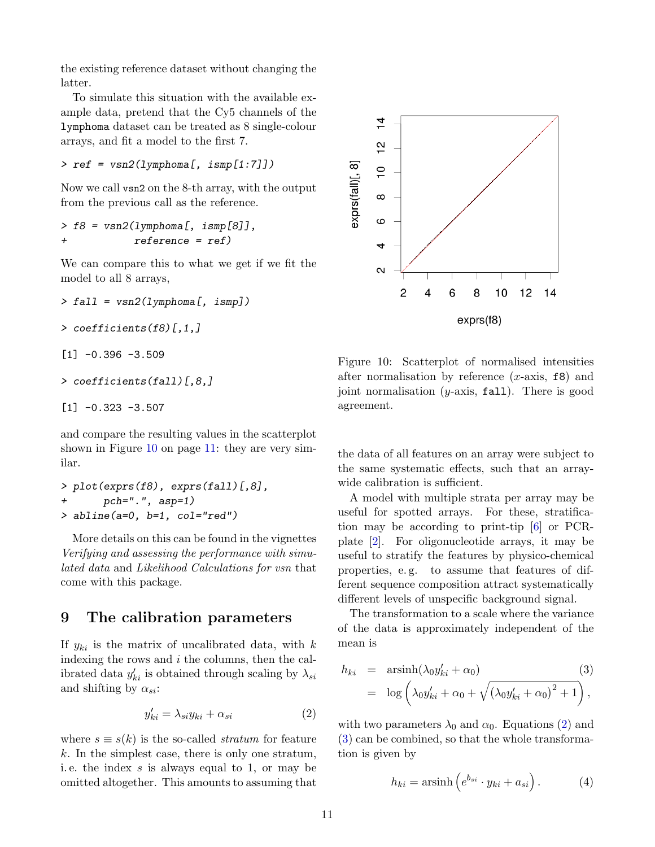<span id="page-10-5"></span>the existing reference dataset without changing the latter.

To simulate this situation with the available example data, pretend that the Cy5 channels of the lymphoma dataset can be treated as 8 single-colour arrays, and fit a model to the first 7.

> ref = vsn2(lymphoma[, ismp[1:7]])

Now we call vsn2 on the 8-th array, with the output from the previous call as the reference.

```
> f8 = vsn2(1ymphona[, ismp[8]],
+ reference = ref)
```
We can compare this to what we get if we fit the model to all 8 arrays,

```
> fall = vsn2(1ymphona[, ismp])
```

```
> coefficients(f8)[,1,]
```

```
[1] -0.396 -3.509
```

```
> coefficients(fall)[,8,]
```

```
[1] -0.323 -3.507
```
and compare the resulting values in the scatterplot shown in Figure [10](#page-10-1) on page [11:](#page-10-1) they are very similar.

```
> plot(exprs(f8), exprs(fall)[,8],
+ pch=".", asp=1)
> abline(a=0, b=1, col="red")
```
More details on this can be found in the vignettes Verifying and assessing the performance with simulated data and Likelihood Calculations for vsn that come with this package.

## <span id="page-10-0"></span>9 The calibration parameters

If  $y_{ki}$  is the matrix of uncalibrated data, with k indexing the rows and  $i$  the columns, then the calibrated data  $y'_{ki}$  is obtained through scaling by  $\lambda_{si}$ and shifting by  $\alpha_{si}$ :

<span id="page-10-2"></span>
$$
y'_{ki} = \lambda_{si} y_{ki} + \alpha_{si} \tag{2}
$$

where  $s \equiv s(k)$  is the so-called *stratum* for feature  $k$ . In the simplest case, there is only one stratum, i. e. the index s is always equal to 1, or may be omitted altogether. This amounts to assuming that



<span id="page-10-1"></span>Figure 10: Scatterplot of normalised intensities after normalisation by reference  $(x\text{-axis}, \texttt{f8})$  and joint normalisation  $(y\text{-axis}, \text{fall})$ . There is good agreement.

the data of all features on an array were subject to the same systematic effects, such that an arraywide calibration is sufficient.

A model with multiple strata per array may be useful for spotted arrays. For these, stratification may be according to print-tip [\[6\]](#page-17-2) or PCRplate [\[2\]](#page-17-5). For oligonucleotide arrays, it may be useful to stratify the features by physico-chemical properties, e. g. to assume that features of different sequence composition attract systematically different levels of unspecific background signal.

The transformation to a scale where the variance of the data is approximately independent of the mean is

<span id="page-10-3"></span>
$$
h_{ki} = \operatorname{arsinh}(\lambda_0 y'_{ki} + \alpha_0)
$$
\n
$$
= \log \left( \lambda_0 y'_{ki} + \alpha_0 + \sqrt{(\lambda_0 y'_{ki} + \alpha_0)^2 + 1} \right),
$$
\n(3)

with two parameters  $\lambda_0$  and  $\alpha_0$ . Equations [\(2\)](#page-10-2) and [\(3\)](#page-10-3) can be combined, so that the whole transformation is given by

<span id="page-10-4"></span>
$$
h_{ki} = \operatorname{arsinh}\left(e^{b_{si}} \cdot y_{ki} + a_{si}\right). \tag{4}
$$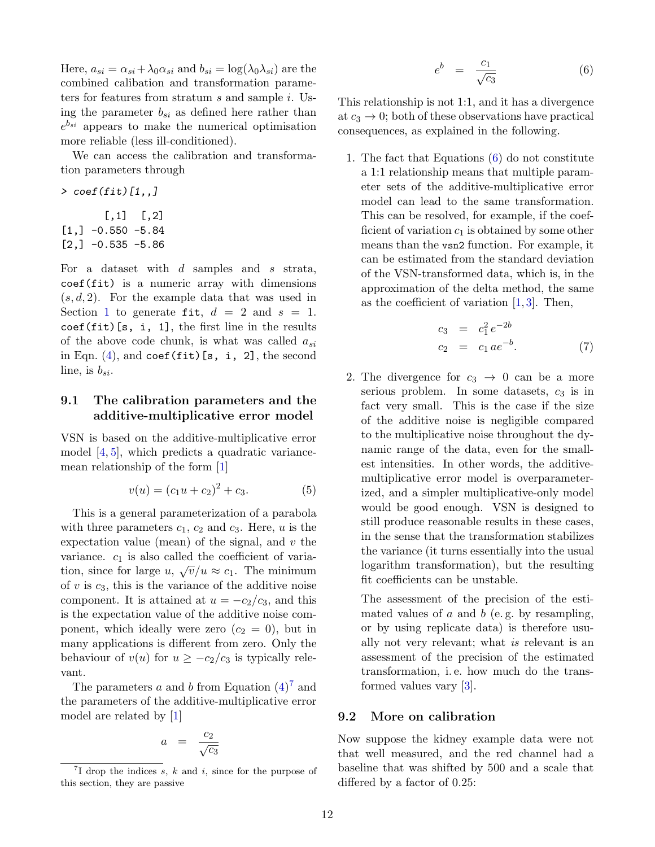<span id="page-11-4"></span>Here,  $a_{si} = \alpha_{si} + \lambda_0 \alpha_{si}$  and  $b_{si} = \log(\lambda_0 \lambda_{si})$  are the combined calibation and transformation parameters for features from stratum s and sample i. Using the parameter  $b_{si}$  as defined here rather than  $e^{b_{si}}$  appears to make the numerical optimisation more reliable (less ill-conditioned).

We can access the calibration and transformation parameters through

 $\ge$  coef(fit)[1,]  $[,1]$   $[,2]$  $[1,] -0.550 -5.84$  $[2,] -0.535 -5.86$ 

For a dataset with  $d$  samples and  $s$  strata, coef(fit) is a numeric array with dimensions  $(s, d, 2)$ . For the example data that was used in Section [1](#page-0-0) to generate fit,  $d = 2$  and  $s = 1$ .  $\csc(fit)[s, i, 1]$ , the first line in the results of the above code chunk, is what was called  $a_{si}$ in Eqn.  $(4)$ , and coef(fit)[s, i, 2], the second line, is  $b_{si}$ .

#### <span id="page-11-0"></span>9.1 The calibration parameters and the additive-multiplicative error model

VSN is based on the additive-multiplicative error model [\[4,](#page-17-6) [5\]](#page-17-7), which predicts a quadratic variancemean relationship of the form [\[1\]](#page-17-8)

$$
v(u) = (c_1u + c_2)^2 + c_3.
$$
 (5)

This is a general parameterization of a parabola with three parameters  $c_1$ ,  $c_2$  and  $c_3$ . Here, u is the expectation value (mean) of the signal, and  $v$  the variance.  $c_1$  is also called the coefficient of variation, since for large  $u, \sqrt{v}/u \approx c_1$ . The minimum of  $v$  is  $c_3$ , this is the variance of the additive noise component. It is attained at  $u = -c_2/c_3$ , and this is the expectation value of the additive noise component, which ideally were zero  $(c_2 = 0)$ , but in many applications is different from zero. Only the behaviour of  $v(u)$  for  $u \geq -c_2/c_3$  is typically relevant.

The parameters  $a$  and  $b$  from Equation  $(4)^7$  $(4)^7$  $(4)^7$  and the parameters of the additive-multiplicative error model are related by [\[1\]](#page-17-8)

<span id="page-11-3"></span>
$$
a = \frac{c_2}{\sqrt{c_3}}
$$

$$
e^b = \frac{c_1}{\sqrt{c_3}} \tag{6}
$$

This relationship is not 1:1, and it has a divergence at  $c_3 \to 0$ ; both of these observations have practical consequences, as explained in the following.

1. The fact that Equations [\(6\)](#page-11-3) do not constitute a 1:1 relationship means that multiple parameter sets of the additive-multiplicative error model can lead to the same transformation. This can be resolved, for example, if the coefficient of variation  $c_1$  is obtained by some other means than the vsn2 function. For example, it can be estimated from the standard deviation of the VSN-transformed data, which is, in the approximation of the delta method, the same as the coefficient of variation  $[1, 3]$  $[1, 3]$  $[1, 3]$ . Then,

$$
c_3 = c_1^2 e^{-2b}
$$
  
\n
$$
c_2 = c_1 a e^{-b}.
$$
 (7)

2. The divergence for  $c_3 \rightarrow 0$  can be a more serious problem. In some datasets,  $c_3$  is in fact very small. This is the case if the size of the additive noise is negligible compared to the multiplicative noise throughout the dynamic range of the data, even for the smallest intensities. In other words, the additivemultiplicative error model is overparameterized, and a simpler multiplicative-only model would be good enough. VSN is designed to still produce reasonable results in these cases, in the sense that the transformation stabilizes the variance (it turns essentially into the usual logarithm transformation), but the resulting fit coefficients can be unstable.

The assessment of the precision of the estimated values of  $a$  and  $b$  (e.g. by resampling, or by using replicate data) is therefore usually not very relevant; what is relevant is an assessment of the precision of the estimated transformation, i. e. how much do the transformed values vary [\[3\]](#page-17-4).

#### <span id="page-11-1"></span>9.2 More on calibration

Now suppose the kidney example data were not that well measured, and the red channel had a baseline that was shifted by 500 and a scale that differed by a factor of 0.25:

<span id="page-11-2"></span><sup>&</sup>lt;sup>7</sup>I drop the indices s, k and i, since for the purpose of this section, they are passive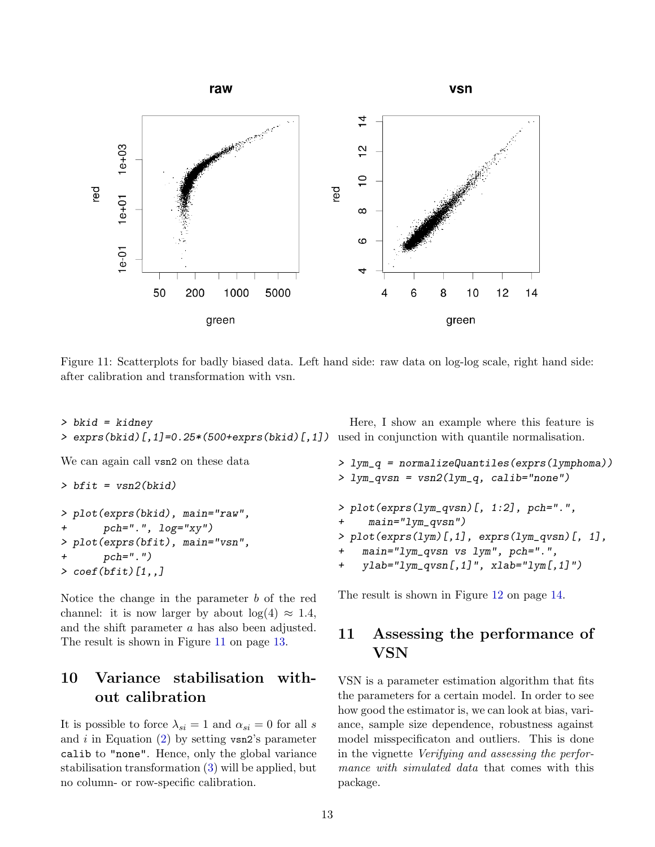<span id="page-12-3"></span>

<span id="page-12-2"></span>Figure 11: Scatterplots for badly biased data. Left hand side: raw data on log-log scale, right hand side: after calibration and transformation with vsn.

```
> bkid = kidney
> exprs(bkid)[,1]=0.25*(500+exprs(bkid)[,1])
used in conjunction with quantile normalisation.
```
We can again call vsn2 on these data

```
> bfit = vsn2(bkid)> plot(exprs(bkid), main="raw",
+ pch=".", log="xy")
> plot(exprs(bfit), main="vsn",
      pch="."')> coef(bfit)[1,,]
```
Notice the change in the parameter  $b$  of the red channel: it is now larger by about  $log(4) \approx 1.4$ , and the shift parameter a has also been adjusted. The result is shown in Figure [11](#page-12-2) on page [13.](#page-12-2)

## <span id="page-12-0"></span>10 Variance stabilisation without calibration

It is possible to force  $\lambda_{si} = 1$  and  $\alpha_{si} = 0$  for all s and i in Equation  $(2)$  by setting vsn2's parameter calib to "none". Hence, only the global variance stabilisation transformation [\(3\)](#page-10-3) will be applied, but no column- or row-specific calibration.

> lym\_q = normalizeQuantiles(exprs(lymphoma)) > lym\_qvsn = vsn2(lym\_q, calib="none") > plot(exprs(lym\_qvsn)[, 1:2], pch=".",  $main="lym_qvsn")$  $> plot(exprs(1ym)[,1], exprs(1ym_qvsn)[, 1],$  $main="lym_qvsn$  vs  $lym"$ ,  $pch="."$ + ylab="lym\_qvsn[,1]", xlab="lym[,1]")

Here, I show an example where this feature is

The result is shown in Figure [12](#page-13-0) on page [14.](#page-13-0)

## <span id="page-12-1"></span>11 Assessing the performance of VSN

VSN is a parameter estimation algorithm that fits the parameters for a certain model. In order to see how good the estimator is, we can look at bias, variance, sample size dependence, robustness against model misspecificaton and outliers. This is done in the vignette Verifying and assessing the performance with simulated data that comes with this package.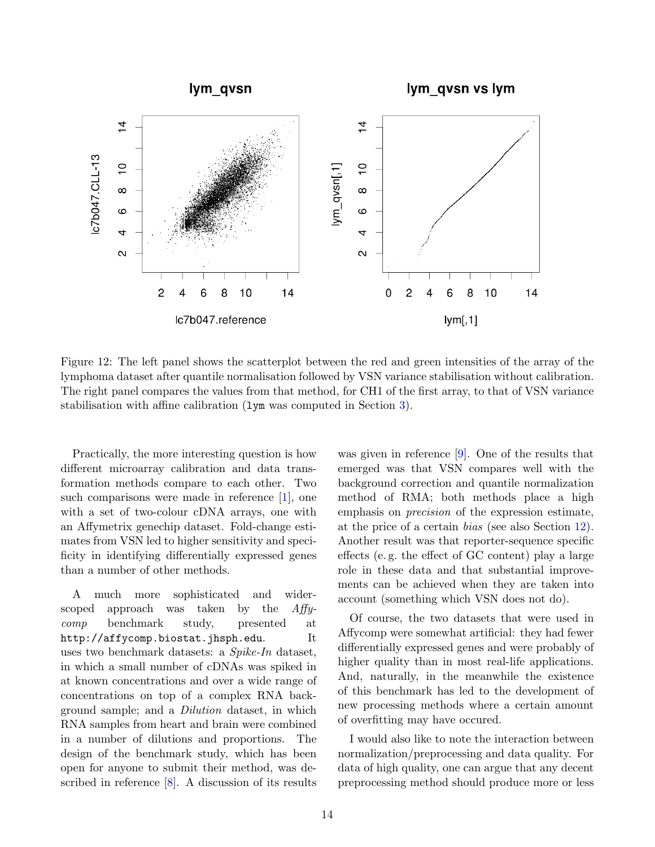<span id="page-13-1"></span>

<span id="page-13-0"></span>Figure 12: The left panel shows the scatterplot between the red and green intensities of the array of the lymphoma dataset after quantile normalisation followed by VSN variance stabilisation without calibration. The right panel compares the values from that method, for CH1 of the first array, to that of VSN variance stabilisation with affine calibration (lym was computed in Section [3\)](#page-3-0).

Practically, the more interesting question is how different microarray calibration and data transformation methods compare to each other. Two such comparisons were made in reference [\[1\]](#page-17-8), one with a set of two-colour cDNA arrays, one with an Affymetrix genechip dataset. Fold-change estimates from VSN led to higher sensitivity and specificity in identifying differentially expressed genes than a number of other methods.

A much more sophisticated and widerscoped approach was taken by the Affycomp benchmark study, presented at http://affycomp.biostat.jhsph.edu. It uses two benchmark datasets: a Spike-In dataset, in which a small number of cDNAs was spiked in at known concentrations and over a wide range of concentrations on top of a complex RNA background sample; and a Dilution dataset, in which RNA samples from heart and brain were combined in a number of dilutions and proportions. The design of the benchmark study, which has been open for anyone to submit their method, was described in reference [\[8\]](#page-17-9). A discussion of its results was given in reference [\[9\]](#page-17-10). One of the results that emerged was that VSN compares well with the background correction and quantile normalization method of RMA; both methods place a high emphasis on precision of the expression estimate, at the price of a certain bias (see also Section [12\)](#page-14-0). Another result was that reporter-sequence specific effects (e. g. the effect of GC content) play a large role in these data and that substantial improvements can be achieved when they are taken into account (something which VSN does not do).

Of course, the two datasets that were used in Affycomp were somewhat artificial: they had fewer differentially expressed genes and were probably of higher quality than in most real-life applications. And, naturally, in the meanwhile the existence of this benchmark has led to the development of new processing methods where a certain amount of overfitting may have occured.

I would also like to note the interaction between normalization/preprocessing and data quality. For data of high quality, one can argue that any decent preprocessing method should produce more or less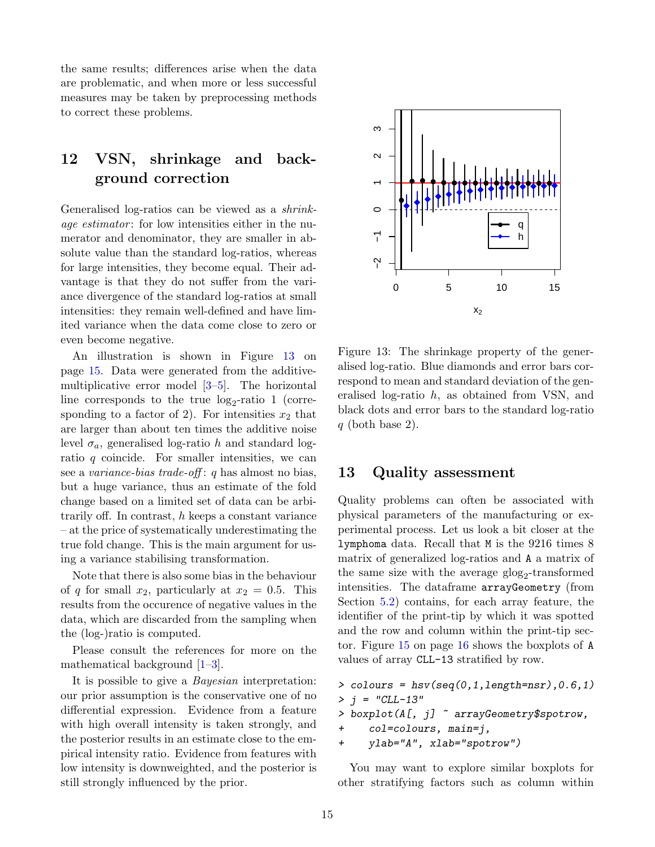<span id="page-14-3"></span>the same results; differences arise when the data are problematic, and when more or less successful measures may be taken by preprocessing methods to correct these problems.

# <span id="page-14-0"></span>12 VSN, shrinkage and background correction

Generalised log-ratios can be viewed as a shrinkage estimator: for low intensities either in the numerator and denominator, they are smaller in absolute value than the standard log-ratios, whereas for large intensities, they become equal. Their advantage is that they do not suffer from the variance divergence of the standard log-ratios at small intensities: they remain well-defined and have limited variance when the data come close to zero or even become negative.

An illustration is shown in Figure [13](#page-14-2) on page [15.](#page-14-2) Data were generated from the additivemultiplicative error model [\[3–](#page-17-4)[5\]](#page-17-7). The horizontal line corresponds to the true  $log_2$ -ratio 1 (corresponding to a factor of 2). For intensities  $x_2$  that are larger than about ten times the additive noise level  $\sigma_a$ , generalised log-ratio h and standard logratio  $q$  coincide. For smaller intensities, we can see a variance-bias trade-off : q has almost no bias, but a huge variance, thus an estimate of the fold change based on a limited set of data can be arbitrarily off. In contrast,  $h$  keeps a constant variance – at the price of systematically underestimating the true fold change. This is the main argument for using a variance stabilising transformation.

Note that there is also some bias in the behaviour of q for small  $x_2$ , particularly at  $x_2 = 0.5$ . This results from the occurence of negative values in the data, which are discarded from the sampling when the (log-)ratio is computed.

Please consult the references for more on the mathematical background [\[1–](#page-17-8)[3\]](#page-17-4).

It is possible to give a Bayesian interpretation: our prior assumption is the conservative one of no differential expression. Evidence from a feature with high overall intensity is taken strongly, and the posterior results in an estimate close to the empirical intensity ratio. Evidence from features with low intensity is downweighted, and the posterior is still strongly influenced by the prior.



<span id="page-14-2"></span>Figure 13: The shrinkage property of the generalised log-ratio. Blue diamonds and error bars correspond to mean and standard deviation of the generalised log-ratio h, as obtained from VSN, and black dots and error bars to the standard log-ratio  $q$  (both base 2).

## <span id="page-14-1"></span>13 Quality assessment

Quality problems can often be associated with physical parameters of the manufacturing or experimental process. Let us look a bit closer at the lymphoma data. Recall that M is the 9216 times 8 matrix of generalized log-ratios and A a matrix of the same size with the average  $g\log_2$ -transformed intensities. The dataframe arrayGeometry (from Section [5.2\)](#page-7-0) contains, for each array feature, the identifier of the print-tip by which it was spotted and the row and column within the print-tip sector. Figure [15](#page-15-1) on page [16](#page-15-1) shows the boxplots of A values of array CLL-13 stratified by row.

```
> colours = hsv(seq(0,1,length=nsr),0.6,1)
 j = "CLL-13"> boxplot(A[, j] ~ arrayGeometry$spotrow,
+ col=colours, main=j,
+ ylab="A", xlab="spotrow")
```
You may want to explore similar boxplots for other stratifying factors such as column within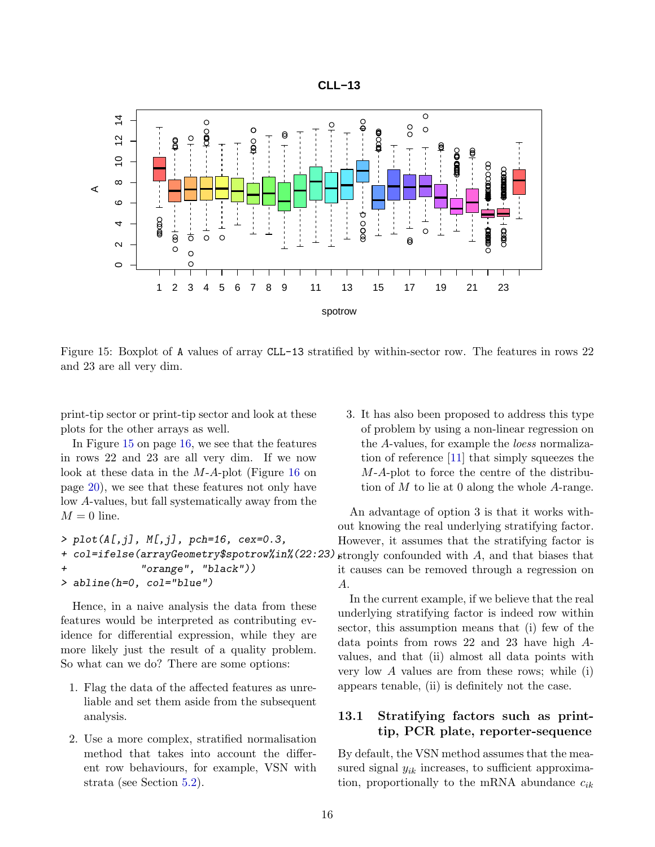

<span id="page-15-2"></span>

<span id="page-15-1"></span>Figure 15: Boxplot of A values of array CLL-13 stratified by within-sector row. The features in rows 22 and 23 are all very dim.

print-tip sector or print-tip sector and look at these plots for the other arrays as well.

In Figure [15](#page-15-1) on page [16,](#page-15-1) we see that the features in rows 22 and 23 are all very dim. If we now look at these data in the M-A-plot (Figure [16](#page-19-0) on page [20\)](#page-19-0), we see that these features not only have low A-values, but fall systematically away from the  $M = 0$  line.

```
> plot(A[,j], M[,j], pch=16, cex=0.3,+ col=ifelse(arrayGeometry$spotrow%in%(22:23) strongly confounded with A, and that biases that
+ "orange", "black"))
> abline(h=0, col="blue")
```
Hence, in a naive analysis the data from these features would be interpreted as contributing evidence for differential expression, while they are more likely just the result of a quality problem. So what can we do? There are some options:

- 1. Flag the data of the affected features as unreliable and set them aside from the subsequent analysis.
- 2. Use a more complex, stratified normalisation method that takes into account the different row behaviours, for example, VSN with strata (see Section [5.2\)](#page-7-0).

3. It has also been proposed to address this type of problem by using a non-linear regression on the A-values, for example the loess normalization of reference [\[11\]](#page-17-11) that simply squeezes the M-A-plot to force the centre of the distribution of  $M$  to lie at 0 along the whole  $A$ -range.

An advantage of option 3 is that it works without knowing the real underlying stratifying factor. However, it assumes that the stratifying factor is it causes can be removed through a regression on A.

In the current example, if we believe that the real underlying stratifying factor is indeed row within sector, this assumption means that (i) few of the data points from rows 22 and 23 have high Avalues, and that (ii) almost all data points with very low  $A$  values are from these rows; while (i) appears tenable, (ii) is definitely not the case.

#### <span id="page-15-0"></span>13.1 Stratifying factors such as printtip, PCR plate, reporter-sequence

By default, the VSN method assumes that the measured signal  $y_{ik}$  increases, to sufficient approximation, proportionally to the mRNA abundance  $c_{ik}$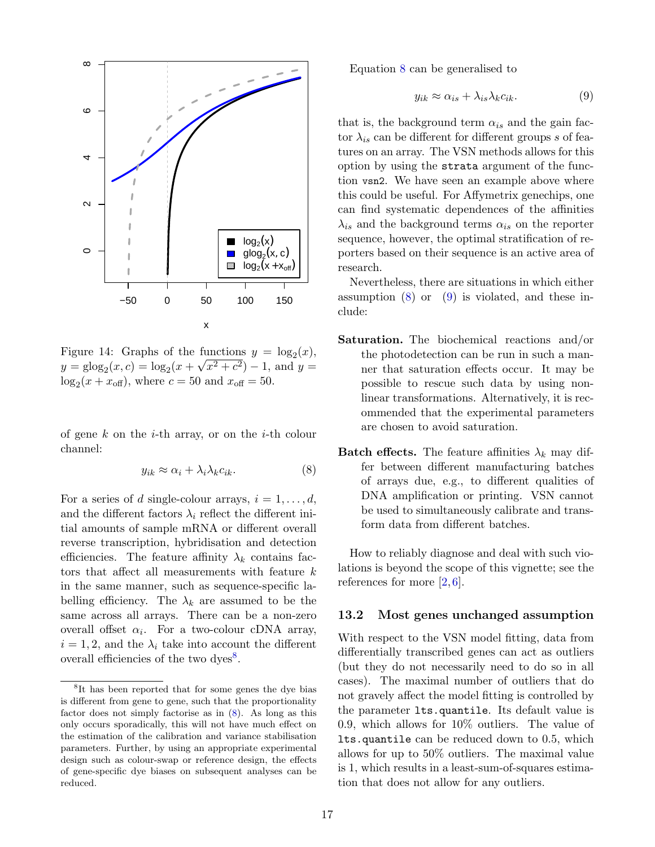<span id="page-16-4"></span>

Figure 14: Graphs of the functions  $y = \log_2(x)$ ,  $y = \text{glog}_2(x, c) = \text{log}_2(x + \sqrt{x^2 + c^2}) - 1$ , and  $y =$  $log_2(x + x_{\text{off}})$ , where  $c = 50$  and  $x_{\text{off}} = 50$ .

of gene k on the *i*-th array, or on the *i*-th colour channel:

<span id="page-16-2"></span>
$$
y_{ik} \approx \alpha_i + \lambda_i \lambda_k c_{ik}.\tag{8}
$$

For a series of d single-colour arrays,  $i = 1, \ldots, d$ , and the different factors  $\lambda_i$  reflect the different initial amounts of sample mRNA or different overall reverse transcription, hybridisation and detection efficiencies. The feature affinity  $\lambda_k$  contains factors that affect all measurements with feature k in the same manner, such as sequence-specific labelling efficiency. The  $\lambda_k$  are assumed to be the same across all arrays. There can be a non-zero overall offset  $\alpha_i$ . For a two-colour cDNA array,  $i = 1, 2$ , and the  $\lambda_i$  take into account the different overall efficiencies of the two dyes<sup>[8](#page-16-1)</sup>.

Equation [8](#page-16-2) can be generalised to

<span id="page-16-3"></span>
$$
y_{ik} \approx \alpha_{is} + \lambda_{is} \lambda_k c_{ik}.\tag{9}
$$

that is, the background term  $\alpha_{is}$  and the gain factor  $\lambda_{is}$  can be different for different groups s of features on an array. The VSN methods allows for this option by using the strata argument of the function vsn2. We have seen an example above where this could be useful. For Affymetrix genechips, one can find systematic dependences of the affinities  $\lambda_{is}$  and the background terms  $\alpha_{is}$  on the reporter sequence, however, the optimal stratification of reporters based on their sequence is an active area of research.

Nevertheless, there are situations in which either assumption  $(8)$  or  $(9)$  is violated, and these include:

- Saturation. The biochemical reactions and/or the photodetection can be run in such a manner that saturation effects occur. It may be possible to rescue such data by using nonlinear transformations. Alternatively, it is recommended that the experimental parameters are chosen to avoid saturation.
- **Batch effects.** The feature affinities  $\lambda_k$  may differ between different manufacturing batches of arrays due, e.g., to different qualities of DNA amplification or printing. VSN cannot be used to simultaneously calibrate and transform data from different batches.

How to reliably diagnose and deal with such violations is beyond the scope of this vignette; see the references for more  $[2, 6]$  $[2, 6]$  $[2, 6]$ .

#### <span id="page-16-0"></span>13.2 Most genes unchanged assumption

With respect to the VSN model fitting, data from differentially transcribed genes can act as outliers (but they do not necessarily need to do so in all cases). The maximal number of outliers that do not gravely affect the model fitting is controlled by the parameter lts.quantile. Its default value is 0.9, which allows for 10% outliers. The value of lts.quantile can be reduced down to 0.5, which allows for up to 50% outliers. The maximal value is 1, which results in a least-sum-of-squares estimation that does not allow for any outliers.

<span id="page-16-1"></span><sup>8</sup> It has been reported that for some genes the dye bias is different from gene to gene, such that the proportionality factor does not simply factorise as in [\(8\)](#page-16-2). As long as this only occurs sporadically, this will not have much effect on the estimation of the calibration and variance stabilisation parameters. Further, by using an appropriate experimental design such as colour-swap or reference design, the effects of gene-specific dye biases on subsequent analyses can be reduced.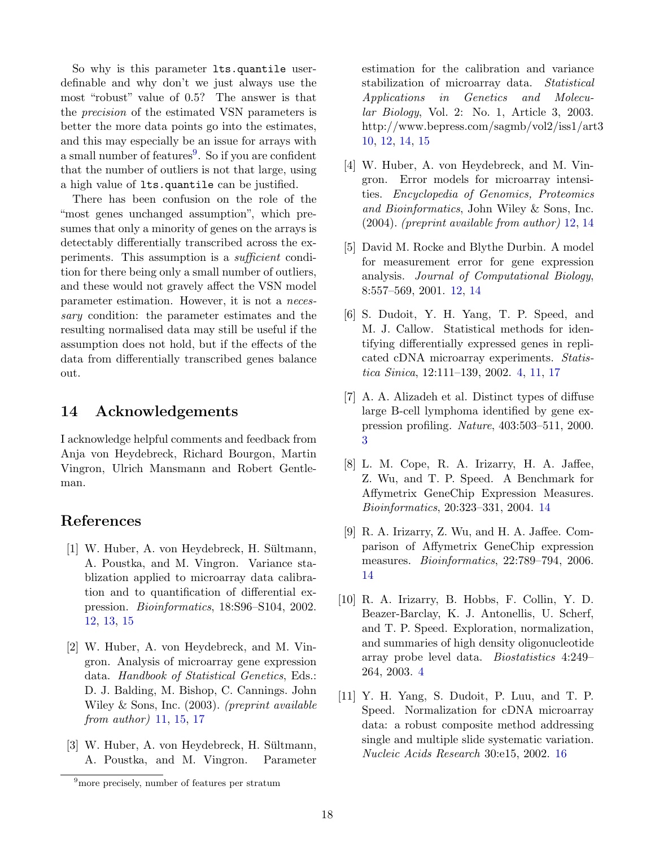So why is this parameter lts.quantile userdefinable and why don't we just always use the most "robust" value of 0.5? The answer is that the precision of the estimated VSN parameters is better the more data points go into the estimates, and this may especially be an issue for arrays with a small number of features<sup>[9](#page-17-12)</sup>. So if you are confident that the number of outliers is not that large, using a high value of lts.quantile can be justified.

There has been confusion on the role of the "most genes unchanged assumption", which presumes that only a minority of genes on the arrays is detectably differentially transcribed across the experiments. This assumption is a *sufficient* condition for there being only a small number of outliers, and these would not gravely affect the VSN model parameter estimation. However, it is not a necessary condition: the parameter estimates and the resulting normalised data may still be useful if the assumption does not hold, but if the effects of the data from differentially transcribed genes balance out.

## <span id="page-17-0"></span>14 Acknowledgements

I acknowledge helpful comments and feedback from Anja von Heydebreck, Richard Bourgon, Martin Vingron, Ulrich Mansmann and Robert Gentleman.

## References

- <span id="page-17-8"></span> $[1]$  W. Huber, A. von Heydebreck, H. Sültmann, A. Poustka, and M. Vingron. Variance stablization applied to microarray data calibration and to quantification of differential expression. Bioinformatics, 18:S96–S104, 2002. [12,](#page-11-4) [13,](#page-12-3) [15](#page-14-3)
- <span id="page-17-5"></span>[2] W. Huber, A. von Heydebreck, and M. Vingron. Analysis of microarray gene expression data. Handbook of Statistical Genetics, Eds.: D. J. Balding, M. Bishop, C. Cannings. John Wiley & Sons, Inc. (2003). (preprint available from author) [11,](#page-10-5) [15,](#page-14-3) [17](#page-16-4)
- <span id="page-17-4"></span> $[3]$  W. Huber, A. von Heydebreck, H. Sültmann, A. Poustka, and M. Vingron. Parameter
- <span id="page-17-6"></span>[4] W. Huber, A. von Heydebreck, and M. Vingron. Error models for microarray intensities. Encyclopedia of Genomics, Proteomics and Bioinformatics, John Wiley & Sons, Inc. (2004). (preprint available from author) [12,](#page-11-4) [14](#page-13-1)
- <span id="page-17-7"></span>[5] David M. Rocke and Blythe Durbin. A model for measurement error for gene expression analysis. Journal of Computational Biology, 8:557–569, 2001. [12,](#page-11-4) [14](#page-13-1)
- <span id="page-17-2"></span>[6] S. Dudoit, Y. H. Yang, T. P. Speed, and M. J. Callow. Statistical methods for identifying differentially expressed genes in replicated cDNA microarray experiments. Statistica Sinica, 12:111–139, 2002. [4,](#page-3-3) [11,](#page-10-5) [17](#page-16-4)
- <span id="page-17-1"></span>[7] A. A. Alizadeh et al. Distinct types of diffuse large B-cell lymphoma identified by gene expression profiling. Nature, 403:503–511, 2000. [3](#page-2-4)
- <span id="page-17-9"></span>[8] L. M. Cope, R. A. Irizarry, H. A. Jaffee, Z. Wu, and T. P. Speed. A Benchmark for Affymetrix GeneChip Expression Measures. Bioinformatics, 20:323–331, 2004. [14](#page-13-1)
- <span id="page-17-10"></span>[9] R. A. Irizarry, Z. Wu, and H. A. Jaffee. Comparison of Affymetrix GeneChip expression measures. *Bioinformatics*, 22:789–794, 2006. [14](#page-13-1)
- <span id="page-17-3"></span>[10] R. A. Irizarry, B. Hobbs, F. Collin, Y. D. Beazer-Barclay, K. J. Antonellis, U. Scherf, and T. P. Speed. Exploration, normalization, and summaries of high density oligonucleotide array probe level data. Biostatistics 4:249– 264, 2003. [4](#page-3-3)
- <span id="page-17-11"></span>[11] Y. H. Yang, S. Dudoit, P. Luu, and T. P. Speed. Normalization for cDNA microarray data: a robust composite method addressing single and multiple slide systematic variation. Nucleic Acids Research 30:e15, 2002. [16](#page-15-2)

estimation for the calibration and variance stabilization of microarray data. Statistical Applications in Genetics and Molecular Biology, Vol. 2: No. 1, Article 3, 2003. http://www.bepress.com/sagmb/vol2/iss1/art3 [10,](#page-9-2) [12,](#page-11-4) [14,](#page-13-1) [15](#page-14-3)

<span id="page-17-12"></span><sup>&</sup>lt;sup>9</sup>more precisely, number of features per stratum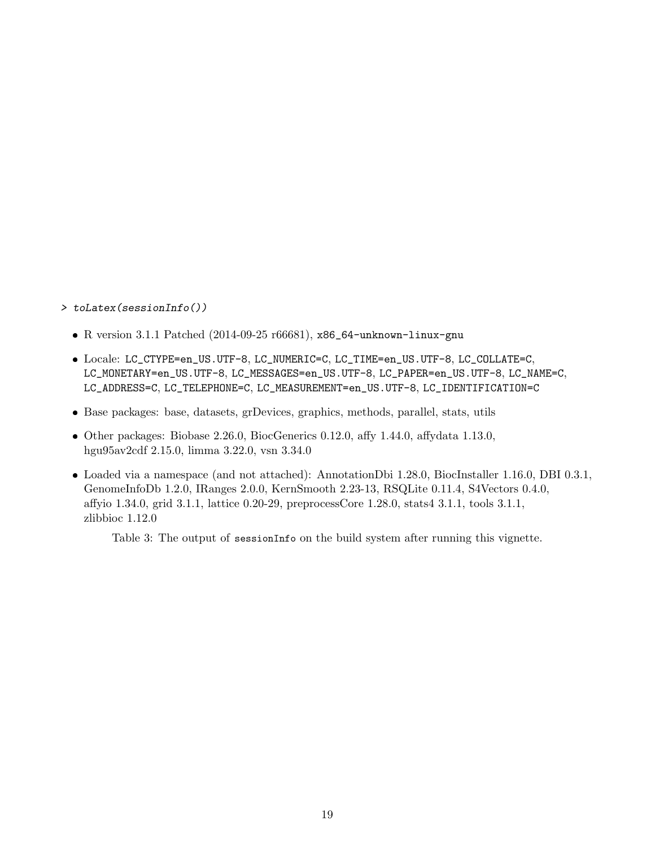#### > toLatex(sessionInfo())

- R version 3.1.1 Patched (2014-09-25 r66681), x86\_64-unknown-linux-gnu
- Locale: LC\_CTYPE=en\_US.UTF-8, LC\_NUMERIC=C, LC\_TIME=en\_US.UTF-8, LC\_COLLATE=C, LC\_MONETARY=en\_US.UTF-8, LC\_MESSAGES=en\_US.UTF-8, LC\_PAPER=en\_US.UTF-8, LC\_NAME=C, LC\_ADDRESS=C, LC\_TELEPHONE=C, LC\_MEASUREMENT=en\_US.UTF-8, LC\_IDENTIFICATION=C
- Base packages: base, datasets, grDevices, graphics, methods, parallel, stats, utils
- Other packages: Biobase 2.26.0, BiocGenerics 0.12.0, affy 1.44.0, affydata 1.13.0, hgu95av2cdf 2.15.0, limma 3.22.0, vsn 3.34.0
- Loaded via a namespace (and not attached): AnnotationDbi 1.28.0, BiocInstaller 1.16.0, DBI 0.3.1, GenomeInfoDb 1.2.0, IRanges 2.0.0, KernSmooth 2.23-13, RSQLite 0.11.4, S4Vectors 0.4.0, affyio 1.34.0, grid 3.1.1, lattice 0.20-29, preprocessCore 1.28.0, stats4 3.1.1, tools 3.1.1, zlibbioc 1.12.0

Table 3: The output of sessionInfo on the build system after running this vignette.